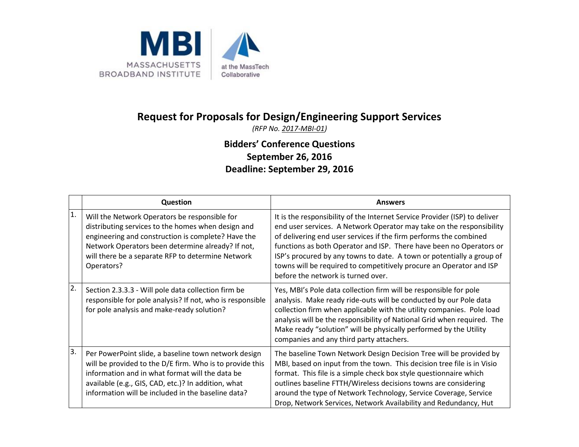

## **Request for Proposals for Design/Engineering Support Services**

*(RFP No. 2017-MBI-01)*

## **Bidders' Conference Questions September 26, 2016 Deadline: September 29, 2016**

|    | Question                                                                                                                                                                                                                                                                          | <b>Answers</b>                                                                                                                                                                                                                                                                                                                                                                                                                                                                       |  |  |
|----|-----------------------------------------------------------------------------------------------------------------------------------------------------------------------------------------------------------------------------------------------------------------------------------|--------------------------------------------------------------------------------------------------------------------------------------------------------------------------------------------------------------------------------------------------------------------------------------------------------------------------------------------------------------------------------------------------------------------------------------------------------------------------------------|--|--|
| 1. | Will the Network Operators be responsible for<br>distributing services to the homes when design and<br>engineering and construction is complete? Have the<br>Network Operators been determine already? If not,<br>will there be a separate RFP to determine Network<br>Operators? | It is the responsibility of the Internet Service Provider (ISP) to deliver<br>end user services. A Network Operator may take on the responsibility<br>of delivering end user services if the firm performs the combined<br>functions as both Operator and ISP. There have been no Operators or<br>ISP's procured by any towns to date. A town or potentially a group of<br>towns will be required to competitively procure an Operator and ISP<br>before the network is turned over. |  |  |
| 2. | Section 2.3.3.3 - Will pole data collection firm be<br>responsible for pole analysis? If not, who is responsible<br>for pole analysis and make-ready solution?                                                                                                                    | Yes, MBI's Pole data collection firm will be responsible for pole<br>analysis. Make ready ride-outs will be conducted by our Pole data<br>collection firm when applicable with the utility companies. Pole load<br>analysis will be the responsibility of National Grid when required. The<br>Make ready "solution" will be physically performed by the Utility<br>companies and any third party attachers.                                                                          |  |  |
| 3. | Per PowerPoint slide, a baseline town network design<br>will be provided to the D/E firm. Who is to provide this<br>information and in what format will the data be<br>available (e.g., GIS, CAD, etc.)? In addition, what<br>information will be included in the baseline data?  | The baseline Town Network Design Decision Tree will be provided by<br>MBI, based on input from the town. This decision tree file is in Visio<br>format. This file is a simple check box style questionnaire which<br>outlines baseline FTTH/Wireless decisions towns are considering<br>around the type of Network Technology, Service Coverage, Service<br>Drop, Network Services, Network Availability and Redundancy, Hut                                                         |  |  |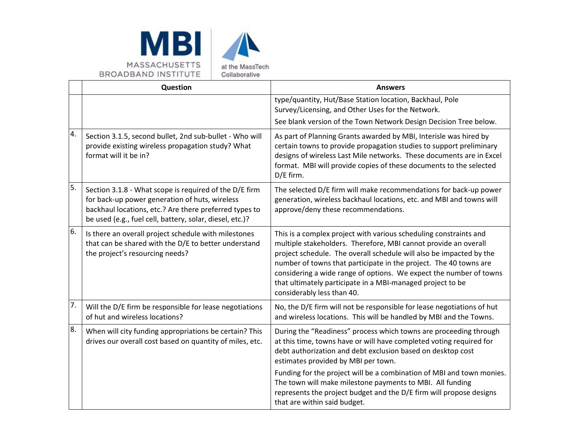



|    | Question                                                                                                                                                                                                                       | <b>Answers</b>                                                                                                                                                                                                                                                                                                                                                                                                                                     |
|----|--------------------------------------------------------------------------------------------------------------------------------------------------------------------------------------------------------------------------------|----------------------------------------------------------------------------------------------------------------------------------------------------------------------------------------------------------------------------------------------------------------------------------------------------------------------------------------------------------------------------------------------------------------------------------------------------|
|    |                                                                                                                                                                                                                                | type/quantity, Hut/Base Station location, Backhaul, Pole<br>Survey/Licensing, and Other Uses for the Network.                                                                                                                                                                                                                                                                                                                                      |
|    |                                                                                                                                                                                                                                | See blank version of the Town Network Design Decision Tree below.                                                                                                                                                                                                                                                                                                                                                                                  |
| 4. | Section 3.1.5, second bullet, 2nd sub-bullet - Who will<br>provide existing wireless propagation study? What<br>format will it be in?                                                                                          | As part of Planning Grants awarded by MBI, Interisle was hired by<br>certain towns to provide propagation studies to support preliminary<br>designs of wireless Last Mile networks. These documents are in Excel<br>format. MBI will provide copies of these documents to the selected<br>D/E firm.                                                                                                                                                |
| 5. | Section 3.1.8 - What scope is required of the D/E firm<br>for back-up power generation of huts, wireless<br>backhaul locations, etc.? Are there preferred types to<br>be used (e.g., fuel cell, battery, solar, diesel, etc.)? | The selected D/E firm will make recommendations for back-up power<br>generation, wireless backhaul locations, etc. and MBI and towns will<br>approve/deny these recommendations.                                                                                                                                                                                                                                                                   |
| 6. | Is there an overall project schedule with milestones<br>that can be shared with the D/E to better understand<br>the project's resourcing needs?                                                                                | This is a complex project with various scheduling constraints and<br>multiple stakeholders. Therefore, MBI cannot provide an overall<br>project schedule. The overall schedule will also be impacted by the<br>number of towns that participate in the project. The 40 towns are<br>considering a wide range of options. We expect the number of towns<br>that ultimately participate in a MBI-managed project to be<br>considerably less than 40. |
| 7. | Will the D/E firm be responsible for lease negotiations<br>of hut and wireless locations?                                                                                                                                      | No, the D/E firm will not be responsible for lease negotiations of hut<br>and wireless locations. This will be handled by MBI and the Towns.                                                                                                                                                                                                                                                                                                       |
| 8. | When will city funding appropriations be certain? This<br>drives our overall cost based on quantity of miles, etc.                                                                                                             | During the "Readiness" process which towns are proceeding through<br>at this time, towns have or will have completed voting required for<br>debt authorization and debt exclusion based on desktop cost<br>estimates provided by MBI per town.                                                                                                                                                                                                     |
|    |                                                                                                                                                                                                                                | Funding for the project will be a combination of MBI and town monies.<br>The town will make milestone payments to MBI. All funding<br>represents the project budget and the D/E firm will propose designs<br>that are within said budget.                                                                                                                                                                                                          |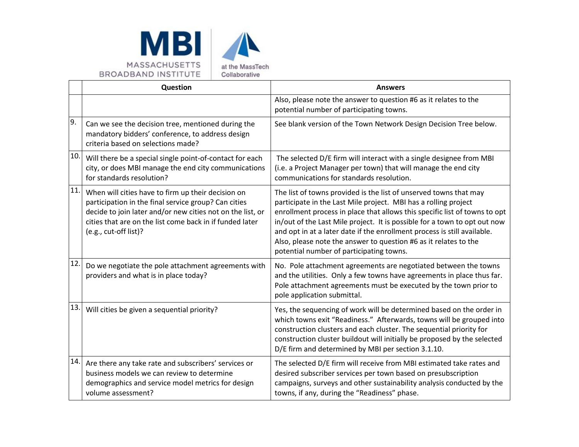



|     | Question                                                                                                                                                                                                                                                      | <b>Answers</b>                                                                                                                                                                                                                                                                                                                                                                                                                                                                              |  |  |
|-----|---------------------------------------------------------------------------------------------------------------------------------------------------------------------------------------------------------------------------------------------------------------|---------------------------------------------------------------------------------------------------------------------------------------------------------------------------------------------------------------------------------------------------------------------------------------------------------------------------------------------------------------------------------------------------------------------------------------------------------------------------------------------|--|--|
|     |                                                                                                                                                                                                                                                               | Also, please note the answer to question #6 as it relates to the<br>potential number of participating towns.                                                                                                                                                                                                                                                                                                                                                                                |  |  |
| 9.  | Can we see the decision tree, mentioned during the<br>mandatory bidders' conference, to address design<br>criteria based on selections made?                                                                                                                  | See blank version of the Town Network Design Decision Tree below.                                                                                                                                                                                                                                                                                                                                                                                                                           |  |  |
| 10  | Will there be a special single point-of-contact for each<br>city, or does MBI manage the end city communications<br>for standards resolution?                                                                                                                 | The selected D/E firm will interact with a single designee from MBI<br>(i.e. a Project Manager per town) that will manage the end city<br>communications for standards resolution.                                                                                                                                                                                                                                                                                                          |  |  |
| 11  | When will cities have to firm up their decision on<br>participation in the final service group? Can cities<br>decide to join later and/or new cities not on the list, or<br>cities that are on the list come back in if funded later<br>(e.g., cut-off list)? | The list of towns provided is the list of unserved towns that may<br>participate in the Last Mile project. MBI has a rolling project<br>enrollment process in place that allows this specific list of towns to opt<br>in/out of the Last Mile project. It is possible for a town to opt out now<br>and opt in at a later date if the enrollment process is still available.<br>Also, please note the answer to question #6 as it relates to the<br>potential number of participating towns. |  |  |
| 12. | Do we negotiate the pole attachment agreements with<br>providers and what is in place today?                                                                                                                                                                  | No. Pole attachment agreements are negotiated between the towns<br>and the utilities. Only a few towns have agreements in place thus far.<br>Pole attachment agreements must be executed by the town prior to<br>pole application submittal.                                                                                                                                                                                                                                                |  |  |
| 13. | Will cities be given a sequential priority?                                                                                                                                                                                                                   | Yes, the sequencing of work will be determined based on the order in<br>which towns exit "Readiness." Afterwards, towns will be grouped into<br>construction clusters and each cluster. The sequential priority for<br>construction cluster buildout will initially be proposed by the selected<br>D/E firm and determined by MBI per section 3.1.10.                                                                                                                                       |  |  |
| 14  | Are there any take rate and subscribers' services or<br>business models we can review to determine<br>demographics and service model metrics for design<br>volume assessment?                                                                                 | The selected D/E firm will receive from MBI estimated take rates and<br>desired subscriber services per town based on presubscription<br>campaigns, surveys and other sustainability analysis conducted by the<br>towns, if any, during the "Readiness" phase.                                                                                                                                                                                                                              |  |  |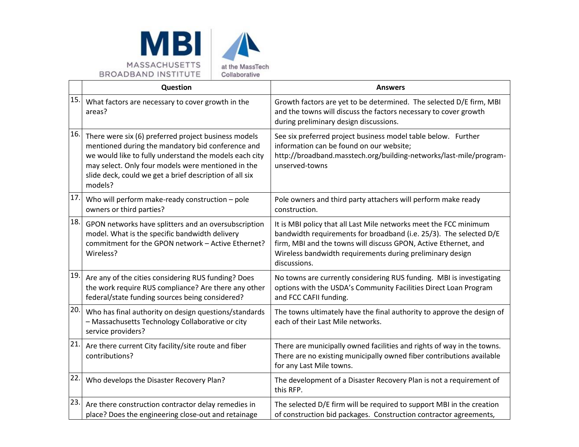



|     | Question                                                                                                                                                                                                                                                                                        | <b>Answers</b>                                                                                                                                                                                                                                                                          |  |  |
|-----|-------------------------------------------------------------------------------------------------------------------------------------------------------------------------------------------------------------------------------------------------------------------------------------------------|-----------------------------------------------------------------------------------------------------------------------------------------------------------------------------------------------------------------------------------------------------------------------------------------|--|--|
| 15. | What factors are necessary to cover growth in the<br>areas?                                                                                                                                                                                                                                     | Growth factors are yet to be determined. The selected D/E firm, MBI<br>and the towns will discuss the factors necessary to cover growth<br>during preliminary design discussions.                                                                                                       |  |  |
| 16. | There were six (6) preferred project business models<br>mentioned during the mandatory bid conference and<br>we would like to fully understand the models each city<br>may select. Only four models were mentioned in the<br>slide deck, could we get a brief description of all six<br>models? | See six preferred project business model table below. Further<br>information can be found on our website;<br>http://broadband.masstech.org/building-networks/last-mile/program-<br>unserved-towns                                                                                       |  |  |
| 17. | Who will perform make-ready construction $-$ pole<br>owners or third parties?                                                                                                                                                                                                                   | Pole owners and third party attachers will perform make ready<br>construction.                                                                                                                                                                                                          |  |  |
| 18. | GPON networks have splitters and an oversubscription<br>model. What is the specific bandwidth delivery<br>commitment for the GPON network - Active Ethernet?<br>Wireless?                                                                                                                       | It is MBI policy that all Last Mile networks meet the FCC minimum<br>bandwidth requirements for broadband (i.e. 25/3). The selected D/E<br>firm, MBI and the towns will discuss GPON, Active Ethernet, and<br>Wireless bandwidth requirements during preliminary design<br>discussions. |  |  |
| 19. | Are any of the cities considering RUS funding? Does<br>the work require RUS compliance? Are there any other<br>federal/state funding sources being considered?                                                                                                                                  | No towns are currently considering RUS funding. MBI is investigating<br>options with the USDA's Community Facilities Direct Loan Program<br>and FCC CAFII funding.                                                                                                                      |  |  |
| 20. | Who has final authority on design questions/standards<br>- Massachusetts Technology Collaborative or city<br>service providers?                                                                                                                                                                 | The towns ultimately have the final authority to approve the design of<br>each of their Last Mile networks.                                                                                                                                                                             |  |  |
| 21. | Are there current City facility/site route and fiber<br>contributions?                                                                                                                                                                                                                          | There are municipally owned facilities and rights of way in the towns.<br>There are no existing municipally owned fiber contributions available<br>for any Last Mile towns.                                                                                                             |  |  |
| 22. | Who develops the Disaster Recovery Plan?                                                                                                                                                                                                                                                        | The development of a Disaster Recovery Plan is not a requirement of<br>this RFP.                                                                                                                                                                                                        |  |  |
| 23. | Are there construction contractor delay remedies in<br>place? Does the engineering close-out and retainage                                                                                                                                                                                      | The selected D/E firm will be required to support MBI in the creation<br>of construction bid packages. Construction contractor agreements,                                                                                                                                              |  |  |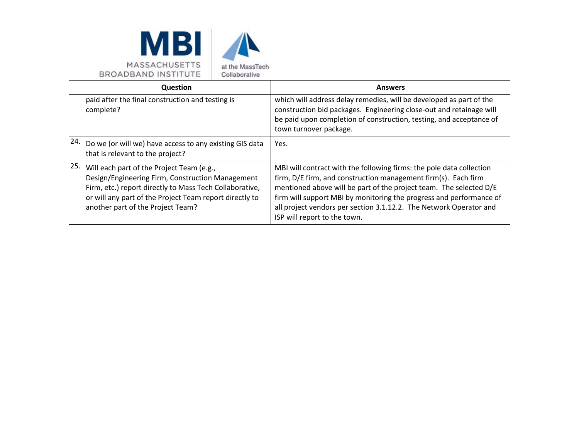



|     | <b>Question</b>                                                                                                                                                                                                                                          | <b>Answers</b>                                                                                                                                                                                                                                                                                                                                                                            |
|-----|----------------------------------------------------------------------------------------------------------------------------------------------------------------------------------------------------------------------------------------------------------|-------------------------------------------------------------------------------------------------------------------------------------------------------------------------------------------------------------------------------------------------------------------------------------------------------------------------------------------------------------------------------------------|
|     | paid after the final construction and testing is<br>complete?                                                                                                                                                                                            | which will address delay remedies, will be developed as part of the<br>construction bid packages. Engineering close-out and retainage will<br>be paid upon completion of construction, testing, and acceptance of<br>town turnover package.                                                                                                                                               |
| 24. | Do we (or will we) have access to any existing GIS data<br>that is relevant to the project?                                                                                                                                                              | Yes.                                                                                                                                                                                                                                                                                                                                                                                      |
| 25. | Will each part of the Project Team (e.g.,<br>Design/Engineering Firm, Construction Management<br>Firm, etc.) report directly to Mass Tech Collaborative,<br>or will any part of the Project Team report directly to<br>another part of the Project Team? | MBI will contract with the following firms: the pole data collection<br>firm, D/E firm, and construction management firm(s). Each firm<br>mentioned above will be part of the project team. The selected D/E<br>firm will support MBI by monitoring the progress and performance of<br>all project vendors per section 3.1.12.2. The Network Operator and<br>ISP will report to the town. |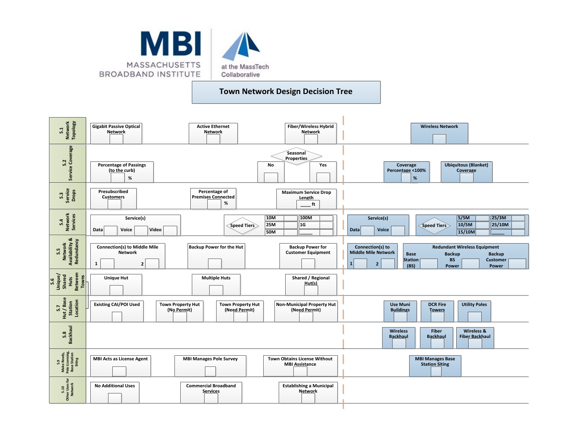

## **Town Network Design Decision Tree**